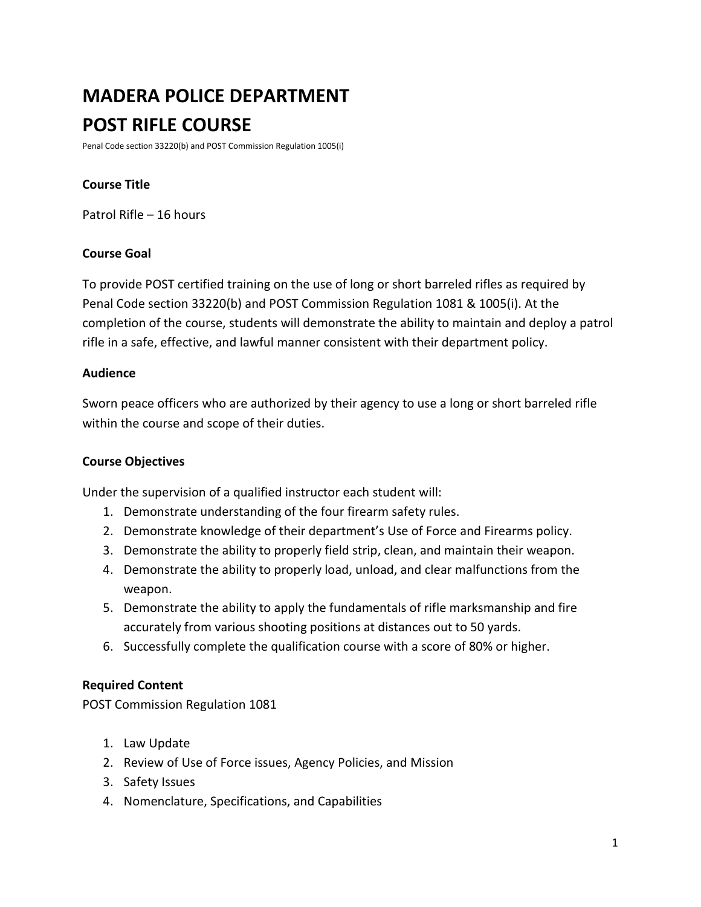# **MADERA POLICE DEPARTMENT POST RIFLE COURSE**

Penal Code section 33220(b) and POST Commission Regulation 1005(i)

## **Course Title**

Patrol Rifle – 16 hours

## **Course Goal**

To provide POST certified training on the use of long or short barreled rifles as required by Penal Code section 33220(b) and POST Commission Regulation 1081 & 1005(i). At the completion of the course, students will demonstrate the ability to maintain and deploy a patrol rifle in a safe, effective, and lawful manner consistent with their department policy.

#### **Audience**

Sworn peace officers who are authorized by their agency to use a long or short barreled rifle within the course and scope of their duties.

## **Course Objectives**

Under the supervision of a qualified instructor each student will:

- 1. Demonstrate understanding of the four firearm safety rules.
- 2. Demonstrate knowledge of their department's Use of Force and Firearms policy.
- 3. Demonstrate the ability to properly field strip, clean, and maintain their weapon.
- 4. Demonstrate the ability to properly load, unload, and clear malfunctions from the weapon.
- 5. Demonstrate the ability to apply the fundamentals of rifle marksmanship and fire accurately from various shooting positions at distances out to 50 yards.
- 6. Successfully complete the qualification course with a score of 80% or higher.

## **Required Content**

POST Commission Regulation 1081

- 1. Law Update
- 2. Review of Use of Force issues, Agency Policies, and Mission
- 3. Safety Issues
- 4. Nomenclature, Specifications, and Capabilities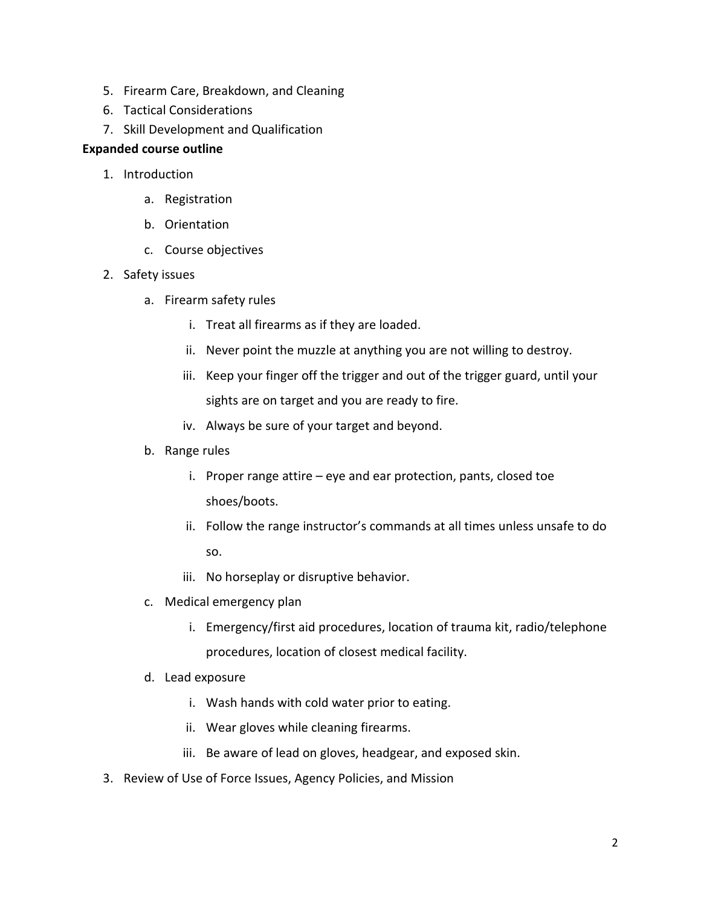- 5. Firearm Care, Breakdown, and Cleaning
- 6. Tactical Considerations
- 7. Skill Development and Qualification

## **Expanded course outline**

- 1. Introduction
	- a. Registration
	- b. Orientation
	- c. Course objectives
- 2. Safety issues
	- a. Firearm safety rules
		- i. Treat all firearms as if they are loaded.
		- ii. Never point the muzzle at anything you are not willing to destroy.
		- iii. Keep your finger off the trigger and out of the trigger guard, until your sights are on target and you are ready to fire.
		- iv. Always be sure of your target and beyond.
	- b. Range rules
		- i. Proper range attire eye and ear protection, pants, closed toe shoes/boots.
		- ii. Follow the range instructor's commands at all times unless unsafe to do so.
		- iii. No horseplay or disruptive behavior.
	- c. Medical emergency plan
		- i. Emergency/first aid procedures, location of trauma kit, radio/telephone procedures, location of closest medical facility.
	- d. Lead exposure
		- i. Wash hands with cold water prior to eating.
		- ii. Wear gloves while cleaning firearms.
		- iii. Be aware of lead on gloves, headgear, and exposed skin.
- 3. Review of Use of Force Issues, Agency Policies, and Mission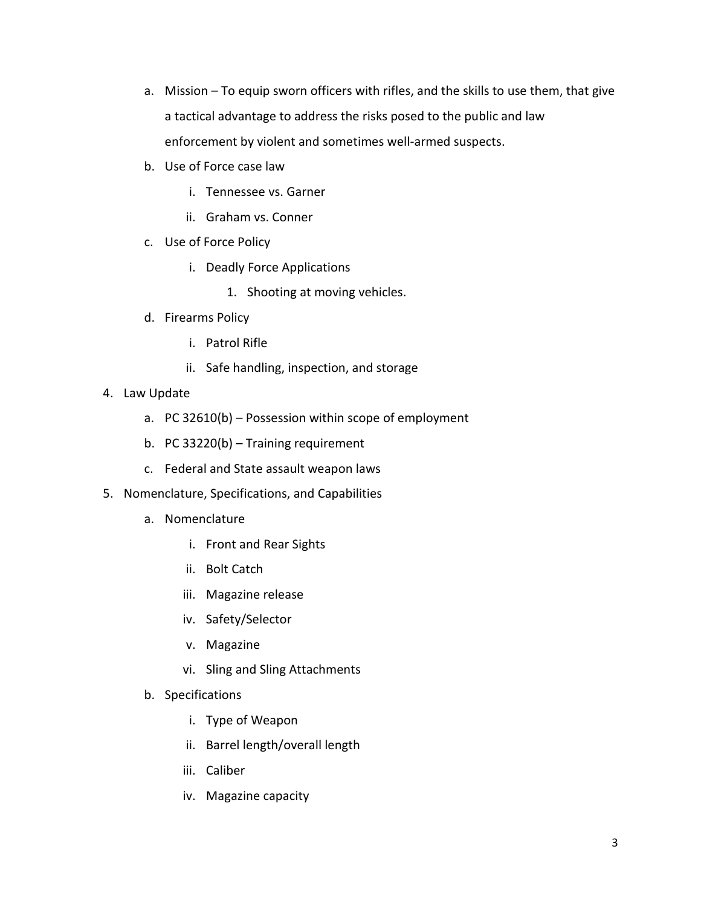- a. Mission To equip sworn officers with rifles, and the skills to use them, that give a tactical advantage to address the risks posed to the public and law enforcement by violent and sometimes well-armed suspects.
- b. Use of Force case law
	- i. Tennessee vs. Garner
	- ii. Graham vs. Conner
- c. Use of Force Policy
	- i. Deadly Force Applications
		- 1. Shooting at moving vehicles.
- d. Firearms Policy
	- i. Patrol Rifle
	- ii. Safe handling, inspection, and storage
- 4. Law Update
	- a. PC 32610(b) Possession within scope of employment
	- b. PC 33220(b) Training requirement
	- c. Federal and State assault weapon laws
- 5. Nomenclature, Specifications, and Capabilities
	- a. Nomenclature
		- i. Front and Rear Sights
		- ii. Bolt Catch
		- iii. Magazine release
		- iv. Safety/Selector
		- v. Magazine
		- vi. Sling and Sling Attachments
	- b. Specifications
		- i. Type of Weapon
		- ii. Barrel length/overall length
		- iii. Caliber
		- iv. Magazine capacity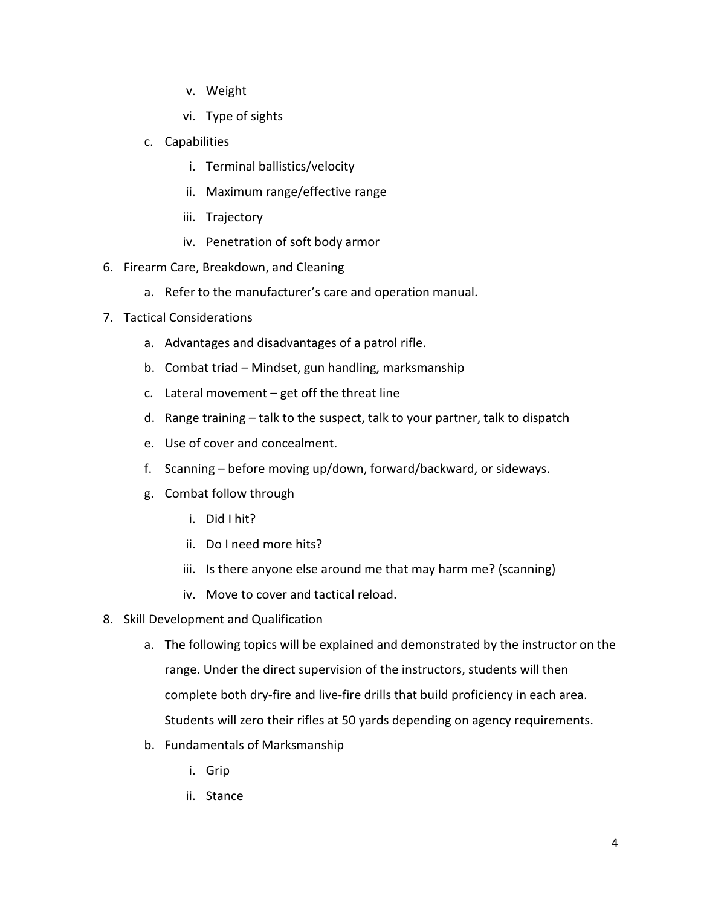- v. Weight
- vi. Type of sights
- c. Capabilities
	- i. Terminal ballistics/velocity
	- ii. Maximum range/effective range
	- iii. Trajectory
	- iv. Penetration of soft body armor
- 6. Firearm Care, Breakdown, and Cleaning
	- a. Refer to the manufacturer's care and operation manual.
- 7. Tactical Considerations
	- a. Advantages and disadvantages of a patrol rifle.
	- b. Combat triad Mindset, gun handling, marksmanship
	- c. Lateral movement  $-$  get off the threat line
	- d. Range training talk to the suspect, talk to your partner, talk to dispatch
	- e. Use of cover and concealment.
	- f. Scanning before moving up/down, forward/backward, or sideways.
	- g. Combat follow through
		- i. Did I hit?
		- ii. Do I need more hits?
		- iii. Is there anyone else around me that may harm me? (scanning)
		- iv. Move to cover and tactical reload.
- 8. Skill Development and Qualification
	- a. The following topics will be explained and demonstrated by the instructor on the range. Under the direct supervision of the instructors, students will then complete both dry-fire and live-fire drills that build proficiency in each area. Students will zero their rifles at 50 yards depending on agency requirements.
	- b. Fundamentals of Marksmanship
		- i. Grip
		- ii. Stance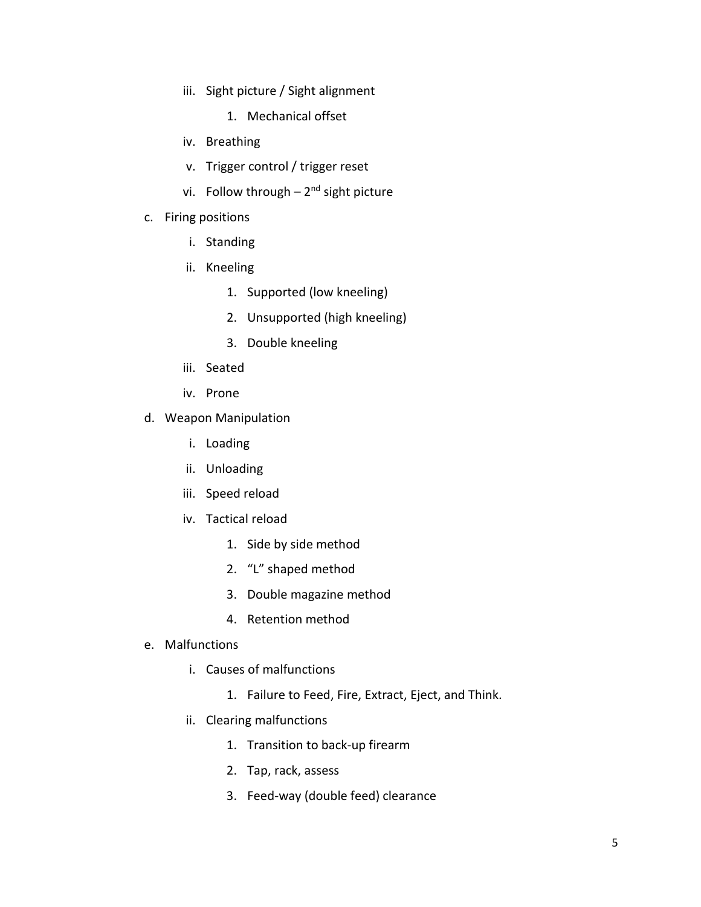- iii. Sight picture / Sight alignment
	- 1. Mechanical offset
- iv. Breathing
- v. Trigger control / trigger reset
- vi. Follow through  $-2<sup>nd</sup>$  sight picture
- c. Firing positions
	- i. Standing
	- ii. Kneeling
		- 1. Supported (low kneeling)
		- 2. Unsupported (high kneeling)
		- 3. Double kneeling
	- iii. Seated
	- iv. Prone
- d. Weapon Manipulation
	- i. Loading
	- ii. Unloading
	- iii. Speed reload
	- iv. Tactical reload
		- 1. Side by side method
		- 2. "L" shaped method
		- 3. Double magazine method
		- 4. Retention method
- e. Malfunctions
	- i. Causes of malfunctions
		- 1. Failure to Feed, Fire, Extract, Eject, and Think.
	- ii. Clearing malfunctions
		- 1. Transition to back-up firearm
		- 2. Tap, rack, assess
		- 3. Feed-way (double feed) clearance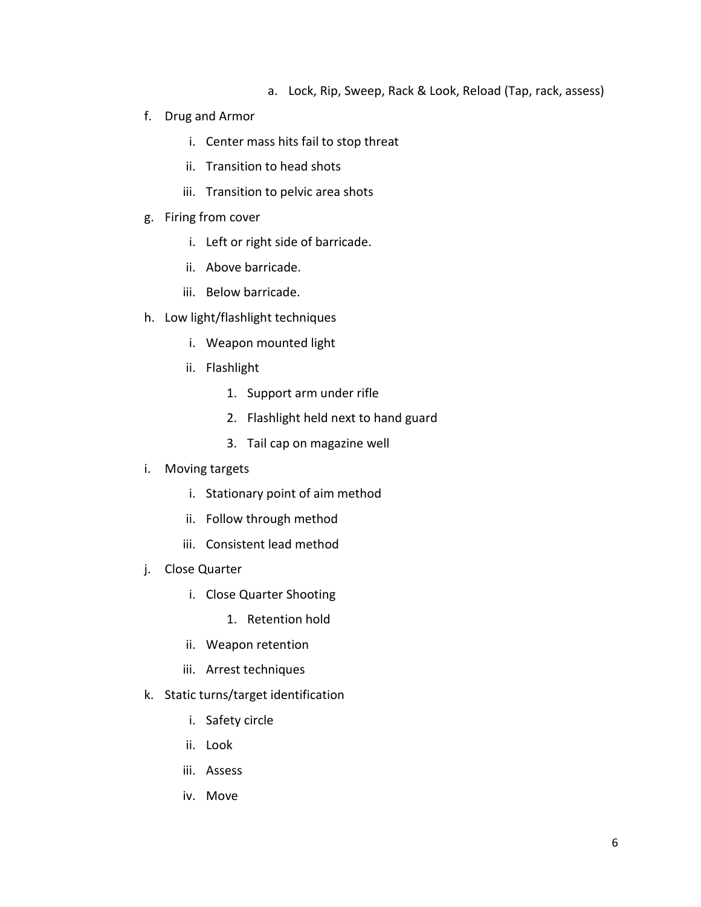- a. Lock, Rip, Sweep, Rack & Look, Reload (Tap, rack, assess)
- f. Drug and Armor
	- i. Center mass hits fail to stop threat
	- ii. Transition to head shots
	- iii. Transition to pelvic area shots
- g. Firing from cover
	- i. Left or right side of barricade.
	- ii. Above barricade.
	- iii. Below barricade.
- h. Low light/flashlight techniques
	- i. Weapon mounted light
	- ii. Flashlight
		- 1. Support arm under rifle
		- 2. Flashlight held next to hand guard
		- 3. Tail cap on magazine well
- i. Moving targets
	- i. Stationary point of aim method
	- ii. Follow through method
	- iii. Consistent lead method
- j. Close Quarter
	- i. Close Quarter Shooting
		- 1. Retention hold
	- ii. Weapon retention
	- iii. Arrest techniques
- k. Static turns/target identification
	- i. Safety circle
	- ii. Look
	- iii. Assess
	- iv. Move